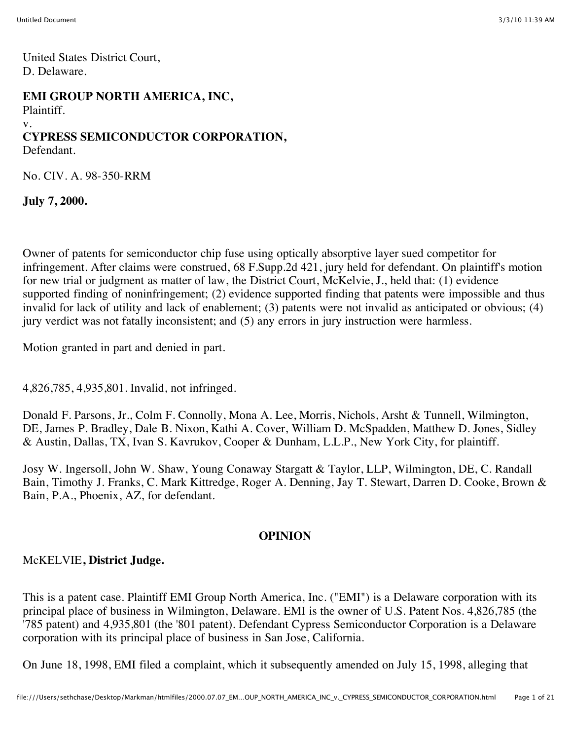United States District Court, D. Delaware.

#### **EMI GROUP NORTH AMERICA, INC,**

Plaintiff.

#### v.

# **CYPRESS SEMICONDUCTOR CORPORATION,**

Defendant.

No. CIV. A. 98-350-RRM

**July 7, 2000.**

Owner of patents for semiconductor chip fuse using optically absorptive layer sued competitor for infringement. After claims were construed, 68 F.Supp.2d 421, jury held for defendant. On plaintiff's motion for new trial or judgment as matter of law, the District Court, McKelvie, J., held that: (1) evidence supported finding of noninfringement; (2) evidence supported finding that patents were impossible and thus invalid for lack of utility and lack of enablement; (3) patents were not invalid as anticipated or obvious; (4) jury verdict was not fatally inconsistent; and (5) any errors in jury instruction were harmless.

Motion granted in part and denied in part.

4,826,785, 4,935,801. Invalid, not infringed.

Donald F. Parsons, Jr., Colm F. Connolly, Mona A. Lee, Morris, Nichols, Arsht & Tunnell, Wilmington, DE, James P. Bradley, Dale B. Nixon, Kathi A. Cover, William D. McSpadden, Matthew D. Jones, Sidley & Austin, Dallas, TX, Ivan S. Kavrukov, Cooper & Dunham, L.L.P., New York City, for plaintiff.

Josy W. Ingersoll, John W. Shaw, Young Conaway Stargatt & Taylor, LLP, Wilmington, DE, C. Randall Bain, Timothy J. Franks, C. Mark Kittredge, Roger A. Denning, Jay T. Stewart, Darren D. Cooke, Brown & Bain, P.A., Phoenix, AZ, for defendant.

#### **OPINION**

# McKELVIE**, District Judge.**

This is a patent case. Plaintiff EMI Group North America, Inc. ("EMI") is a Delaware corporation with its principal place of business in Wilmington, Delaware. EMI is the owner of U.S. Patent Nos. 4,826,785 (the '785 patent) and 4,935,801 (the '801 patent). Defendant Cypress Semiconductor Corporation is a Delaware corporation with its principal place of business in San Jose, California.

On June 18, 1998, EMI filed a complaint, which it subsequently amended on July 15, 1998, alleging that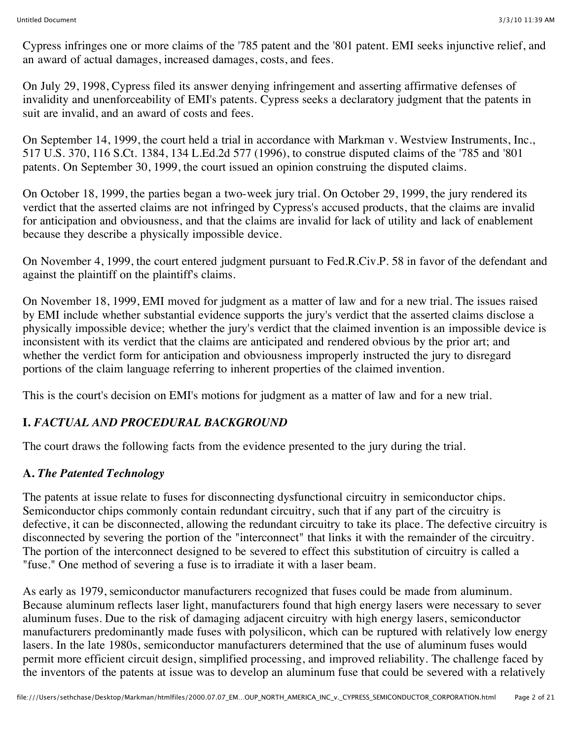Cypress infringes one or more claims of the '785 patent and the '801 patent. EMI seeks injunctive relief, and an award of actual damages, increased damages, costs, and fees.

On July 29, 1998, Cypress filed its answer denying infringement and asserting affirmative defenses of invalidity and unenforceability of EMI's patents. Cypress seeks a declaratory judgment that the patents in suit are invalid, and an award of costs and fees.

On September 14, 1999, the court held a trial in accordance with Markman v. Westview Instruments, Inc., 517 U.S. 370, 116 S.Ct. 1384, 134 L.Ed.2d 577 (1996), to construe disputed claims of the '785 and '801 patents. On September 30, 1999, the court issued an opinion construing the disputed claims.

On October 18, 1999, the parties began a two-week jury trial. On October 29, 1999, the jury rendered its verdict that the asserted claims are not infringed by Cypress's accused products, that the claims are invalid for anticipation and obviousness, and that the claims are invalid for lack of utility and lack of enablement because they describe a physically impossible device.

On November 4, 1999, the court entered judgment pursuant to Fed.R.Civ.P. 58 in favor of the defendant and against the plaintiff on the plaintiff's claims.

On November 18, 1999, EMI moved for judgment as a matter of law and for a new trial. The issues raised by EMI include whether substantial evidence supports the jury's verdict that the asserted claims disclose a physically impossible device; whether the jury's verdict that the claimed invention is an impossible device is inconsistent with its verdict that the claims are anticipated and rendered obvious by the prior art; and whether the verdict form for anticipation and obviousness improperly instructed the jury to disregard portions of the claim language referring to inherent properties of the claimed invention.

This is the court's decision on EMI's motions for judgment as a matter of law and for a new trial.

# **I.** *FACTUAL AND PROCEDURAL BACKGROUND*

The court draws the following facts from the evidence presented to the jury during the trial.

# **A.** *The Patented Technology*

The patents at issue relate to fuses for disconnecting dysfunctional circuitry in semiconductor chips. Semiconductor chips commonly contain redundant circuitry, such that if any part of the circuitry is defective, it can be disconnected, allowing the redundant circuitry to take its place. The defective circuitry is disconnected by severing the portion of the "interconnect" that links it with the remainder of the circuitry. The portion of the interconnect designed to be severed to effect this substitution of circuitry is called a "fuse." One method of severing a fuse is to irradiate it with a laser beam.

As early as 1979, semiconductor manufacturers recognized that fuses could be made from aluminum. Because aluminum reflects laser light, manufacturers found that high energy lasers were necessary to sever aluminum fuses. Due to the risk of damaging adjacent circuitry with high energy lasers, semiconductor manufacturers predominantly made fuses with polysilicon, which can be ruptured with relatively low energy lasers. In the late 1980s, semiconductor manufacturers determined that the use of aluminum fuses would permit more efficient circuit design, simplified processing, and improved reliability. The challenge faced by the inventors of the patents at issue was to develop an aluminum fuse that could be severed with a relatively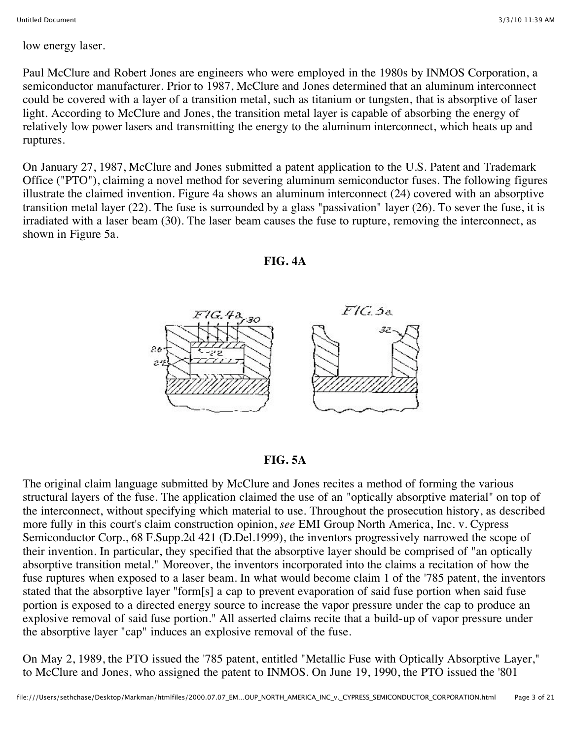low energy laser.

Paul McClure and Robert Jones are engineers who were employed in the 1980s by INMOS Corporation, a semiconductor manufacturer. Prior to 1987, McClure and Jones determined that an aluminum interconnect could be covered with a layer of a transition metal, such as titanium or tungsten, that is absorptive of laser light. According to McClure and Jones, the transition metal layer is capable of absorbing the energy of relatively low power lasers and transmitting the energy to the aluminum interconnect, which heats up and ruptures.

On January 27, 1987, McClure and Jones submitted a patent application to the U.S. Patent and Trademark Office ("PTO"), claiming a novel method for severing aluminum semiconductor fuses. The following figures illustrate the claimed invention. Figure 4a shows an aluminum interconnect (24) covered with an absorptive transition metal layer (22). The fuse is surrounded by a glass "passivation" layer (26). To sever the fuse, it is irradiated with a laser beam (30). The laser beam causes the fuse to rupture, removing the interconnect, as shown in Figure 5a.





#### **FIG. 5A**

The original claim language submitted by McClure and Jones recites a method of forming the various structural layers of the fuse. The application claimed the use of an "optically absorptive material" on top of the interconnect, without specifying which material to use. Throughout the prosecution history, as described more fully in this court's claim construction opinion, *see* EMI Group North America, Inc. v. Cypress Semiconductor Corp., 68 F.Supp.2d 421 (D.Del.1999), the inventors progressively narrowed the scope of their invention. In particular, they specified that the absorptive layer should be comprised of "an optically absorptive transition metal." Moreover, the inventors incorporated into the claims a recitation of how the fuse ruptures when exposed to a laser beam. In what would become claim 1 of the '785 patent, the inventors stated that the absorptive layer "form[s] a cap to prevent evaporation of said fuse portion when said fuse portion is exposed to a directed energy source to increase the vapor pressure under the cap to produce an explosive removal of said fuse portion." All asserted claims recite that a build-up of vapor pressure under the absorptive layer "cap" induces an explosive removal of the fuse.

On May 2, 1989, the PTO issued the '785 patent, entitled "Metallic Fuse with Optically Absorptive Layer," to McClure and Jones, who assigned the patent to INMOS. On June 19, 1990, the PTO issued the '801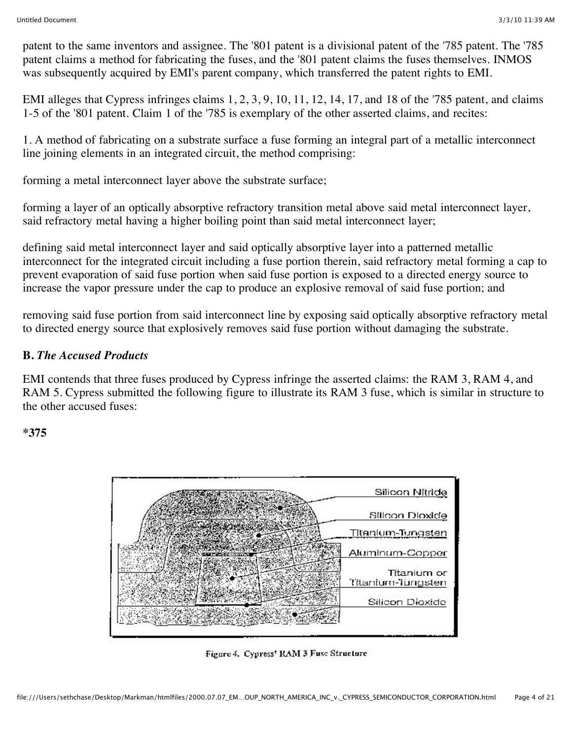patent to the same inventors and assignee. The '801 patent is a divisional patent of the '785 patent. The '785 patent claims a method for fabricating the fuses, and the '801 patent claims the fuses themselves. INMOS was subsequently acquired by EMI's parent company, which transferred the patent rights to EMI.

EMI alleges that Cypress infringes claims 1, 2, 3, 9, 10, 11, 12, 14, 17, and 18 of the '785 patent, and claims 1-5 of the '801 patent. Claim 1 of the '785 is exemplary of the other asserted claims, and recites:

1. A method of fabricating on a substrate surface a fuse forming an integral part of a metallic interconnect line joining elements in an integrated circuit, the method comprising:

forming a metal interconnect layer above the substrate surface;

forming a layer of an optically absorptive refractory transition metal above said metal interconnect layer, said refractory metal having a higher boiling point than said metal interconnect layer;

defining said metal interconnect layer and said optically absorptive layer into a patterned metallic interconnect for the integrated circuit including a fuse portion therein, said refractory metal forming a cap to prevent evaporation of said fuse portion when said fuse portion is exposed to a directed energy source to increase the vapor pressure under the cap to produce an explosive removal of said fuse portion; and

removing said fuse portion from said interconnect line by exposing said optically absorptive refractory metal to directed energy source that explosively removes said fuse portion without damaging the substrate.

# **B.** *The Accused Products*

EMI contends that three fuses produced by Cypress infringe the asserted claims: the RAM 3, RAM 4, and RAM 5. Cypress submitted the following figure to illustrate its RAM 3 fuse, which is similar in structure to the other accused fuses:

#### **\*375**



Figure 4. Cypress' RAM 3 Fuse Structure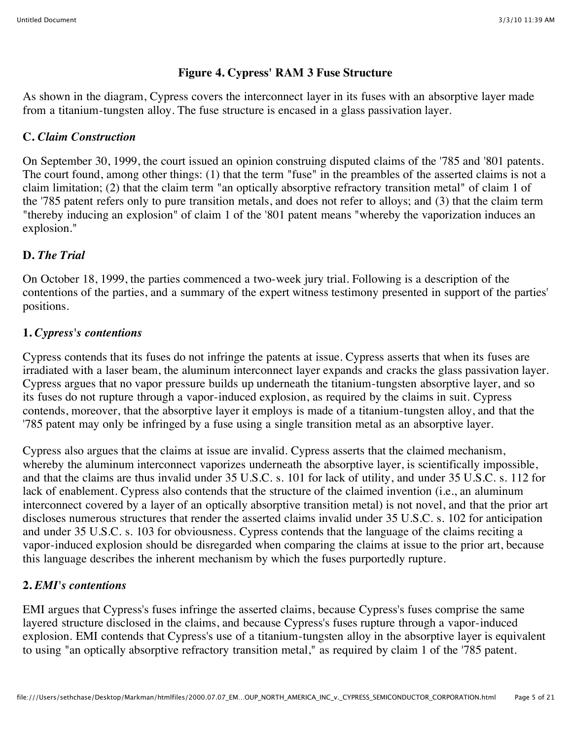#### **Figure 4. Cypress' RAM 3 Fuse Structure**

As shown in the diagram, Cypress covers the interconnect layer in its fuses with an absorptive layer made from a titanium-tungsten alloy. The fuse structure is encased in a glass passivation layer.

#### **C.** *Claim Construction*

On September 30, 1999, the court issued an opinion construing disputed claims of the '785 and '801 patents. The court found, among other things: (1) that the term "fuse" in the preambles of the asserted claims is not a claim limitation; (2) that the claim term "an optically absorptive refractory transition metal" of claim 1 of the '785 patent refers only to pure transition metals, and does not refer to alloys; and (3) that the claim term "thereby inducing an explosion" of claim 1 of the '801 patent means "whereby the vaporization induces an explosion."

# **D.** *The Trial*

On October 18, 1999, the parties commenced a two-week jury trial. Following is a description of the contentions of the parties, and a summary of the expert witness testimony presented in support of the parties' positions.

# **1.** *Cypress's contentions*

Cypress contends that its fuses do not infringe the patents at issue. Cypress asserts that when its fuses are irradiated with a laser beam, the aluminum interconnect layer expands and cracks the glass passivation layer. Cypress argues that no vapor pressure builds up underneath the titanium-tungsten absorptive layer, and so its fuses do not rupture through a vapor-induced explosion, as required by the claims in suit. Cypress contends, moreover, that the absorptive layer it employs is made of a titanium-tungsten alloy, and that the '785 patent may only be infringed by a fuse using a single transition metal as an absorptive layer.

Cypress also argues that the claims at issue are invalid. Cypress asserts that the claimed mechanism, whereby the aluminum interconnect vaporizes underneath the absorptive layer, is scientifically impossible, and that the claims are thus invalid under 35 U.S.C. s. 101 for lack of utility, and under 35 U.S.C. s. 112 for lack of enablement. Cypress also contends that the structure of the claimed invention (i.e., an aluminum interconnect covered by a layer of an optically absorptive transition metal) is not novel, and that the prior art discloses numerous structures that render the asserted claims invalid under 35 U.S.C. s. 102 for anticipation and under 35 U.S.C. s. 103 for obviousness. Cypress contends that the language of the claims reciting a vapor-induced explosion should be disregarded when comparing the claims at issue to the prior art, because this language describes the inherent mechanism by which the fuses purportedly rupture.

# **2.** *EMI's contentions*

EMI argues that Cypress's fuses infringe the asserted claims, because Cypress's fuses comprise the same layered structure disclosed in the claims, and because Cypress's fuses rupture through a vapor-induced explosion. EMI contends that Cypress's use of a titanium-tungsten alloy in the absorptive layer is equivalent to using "an optically absorptive refractory transition metal," as required by claim 1 of the '785 patent.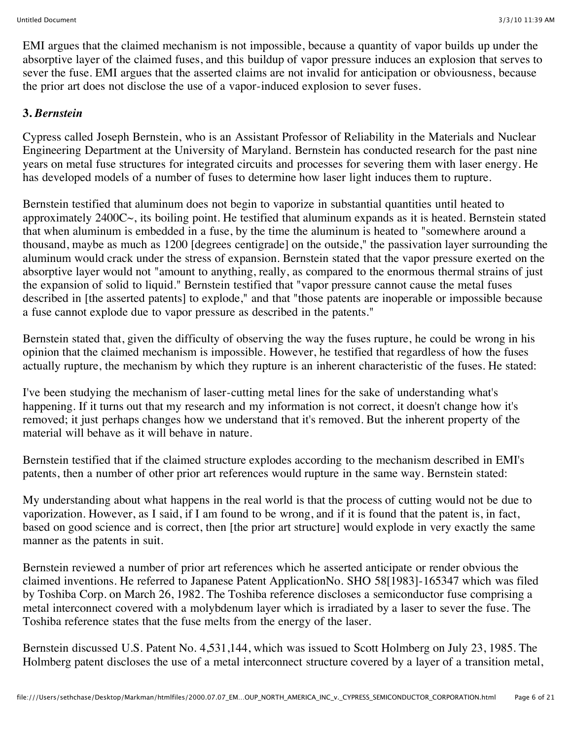EMI argues that the claimed mechanism is not impossible, because a quantity of vapor builds up under the absorptive layer of the claimed fuses, and this buildup of vapor pressure induces an explosion that serves to sever the fuse. EMI argues that the asserted claims are not invalid for anticipation or obviousness, because the prior art does not disclose the use of a vapor-induced explosion to sever fuses.

# **3.** *Bernstein*

Cypress called Joseph Bernstein, who is an Assistant Professor of Reliability in the Materials and Nuclear Engineering Department at the University of Maryland. Bernstein has conducted research for the past nine years on metal fuse structures for integrated circuits and processes for severing them with laser energy. He has developed models of a number of fuses to determine how laser light induces them to rupture.

Bernstein testified that aluminum does not begin to vaporize in substantial quantities until heated to approximately 2400C~, its boiling point. He testified that aluminum expands as it is heated. Bernstein stated that when aluminum is embedded in a fuse, by the time the aluminum is heated to "somewhere around a thousand, maybe as much as 1200 [degrees centigrade] on the outside," the passivation layer surrounding the aluminum would crack under the stress of expansion. Bernstein stated that the vapor pressure exerted on the absorptive layer would not "amount to anything, really, as compared to the enormous thermal strains of just the expansion of solid to liquid." Bernstein testified that "vapor pressure cannot cause the metal fuses described in [the asserted patents] to explode," and that "those patents are inoperable or impossible because a fuse cannot explode due to vapor pressure as described in the patents."

Bernstein stated that, given the difficulty of observing the way the fuses rupture, he could be wrong in his opinion that the claimed mechanism is impossible. However, he testified that regardless of how the fuses actually rupture, the mechanism by which they rupture is an inherent characteristic of the fuses. He stated:

I've been studying the mechanism of laser-cutting metal lines for the sake of understanding what's happening. If it turns out that my research and my information is not correct, it doesn't change how it's removed; it just perhaps changes how we understand that it's removed. But the inherent property of the material will behave as it will behave in nature.

Bernstein testified that if the claimed structure explodes according to the mechanism described in EMI's patents, then a number of other prior art references would rupture in the same way. Bernstein stated:

My understanding about what happens in the real world is that the process of cutting would not be due to vaporization. However, as I said, if I am found to be wrong, and if it is found that the patent is, in fact, based on good science and is correct, then [the prior art structure] would explode in very exactly the same manner as the patents in suit.

Bernstein reviewed a number of prior art references which he asserted anticipate or render obvious the claimed inventions. He referred to Japanese Patent ApplicationNo. SHO 58[1983]-165347 which was filed by Toshiba Corp. on March 26, 1982. The Toshiba reference discloses a semiconductor fuse comprising a metal interconnect covered with a molybdenum layer which is irradiated by a laser to sever the fuse. The Toshiba reference states that the fuse melts from the energy of the laser.

Bernstein discussed U.S. Patent No. 4,531,144, which was issued to Scott Holmberg on July 23, 1985. The Holmberg patent discloses the use of a metal interconnect structure covered by a layer of a transition metal,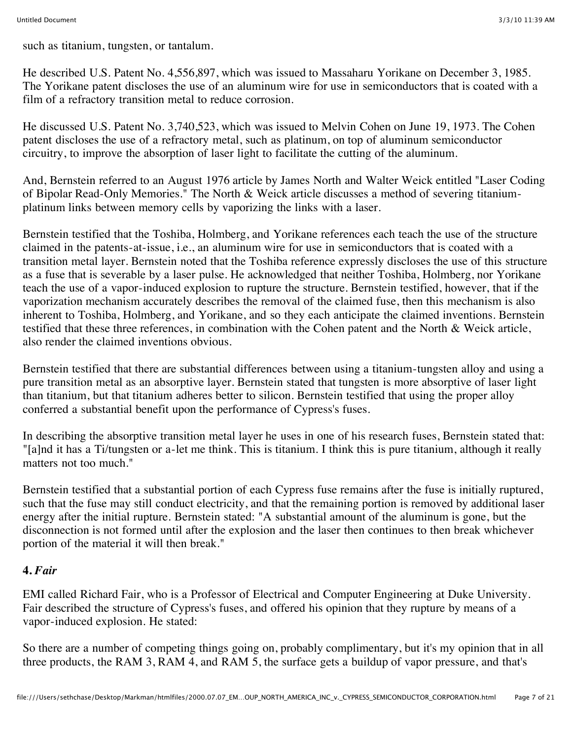such as titanium, tungsten, or tantalum.

He described U.S. Patent No. 4,556,897, which was issued to Massaharu Yorikane on December 3, 1985. The Yorikane patent discloses the use of an aluminum wire for use in semiconductors that is coated with a film of a refractory transition metal to reduce corrosion.

He discussed U.S. Patent No. 3,740,523, which was issued to Melvin Cohen on June 19, 1973. The Cohen patent discloses the use of a refractory metal, such as platinum, on top of aluminum semiconductor circuitry, to improve the absorption of laser light to facilitate the cutting of the aluminum.

And, Bernstein referred to an August 1976 article by James North and Walter Weick entitled "Laser Coding of Bipolar Read-Only Memories." The North & Weick article discusses a method of severing titaniumplatinum links between memory cells by vaporizing the links with a laser.

Bernstein testified that the Toshiba, Holmberg, and Yorikane references each teach the use of the structure claimed in the patents-at-issue, i.e., an aluminum wire for use in semiconductors that is coated with a transition metal layer. Bernstein noted that the Toshiba reference expressly discloses the use of this structure as a fuse that is severable by a laser pulse. He acknowledged that neither Toshiba, Holmberg, nor Yorikane teach the use of a vapor-induced explosion to rupture the structure. Bernstein testified, however, that if the vaporization mechanism accurately describes the removal of the claimed fuse, then this mechanism is also inherent to Toshiba, Holmberg, and Yorikane, and so they each anticipate the claimed inventions. Bernstein testified that these three references, in combination with the Cohen patent and the North & Weick article, also render the claimed inventions obvious.

Bernstein testified that there are substantial differences between using a titanium-tungsten alloy and using a pure transition metal as an absorptive layer. Bernstein stated that tungsten is more absorptive of laser light than titanium, but that titanium adheres better to silicon. Bernstein testified that using the proper alloy conferred a substantial benefit upon the performance of Cypress's fuses.

In describing the absorptive transition metal layer he uses in one of his research fuses, Bernstein stated that: "[a]nd it has a Ti/tungsten or a-let me think. This is titanium. I think this is pure titanium, although it really matters not too much."

Bernstein testified that a substantial portion of each Cypress fuse remains after the fuse is initially ruptured, such that the fuse may still conduct electricity, and that the remaining portion is removed by additional laser energy after the initial rupture. Bernstein stated: "A substantial amount of the aluminum is gone, but the disconnection is not formed until after the explosion and the laser then continues to then break whichever portion of the material it will then break."

# **4.** *Fair*

EMI called Richard Fair, who is a Professor of Electrical and Computer Engineering at Duke University. Fair described the structure of Cypress's fuses, and offered his opinion that they rupture by means of a vapor-induced explosion. He stated:

So there are a number of competing things going on, probably complimentary, but it's my opinion that in all three products, the RAM 3, RAM 4, and RAM 5, the surface gets a buildup of vapor pressure, and that's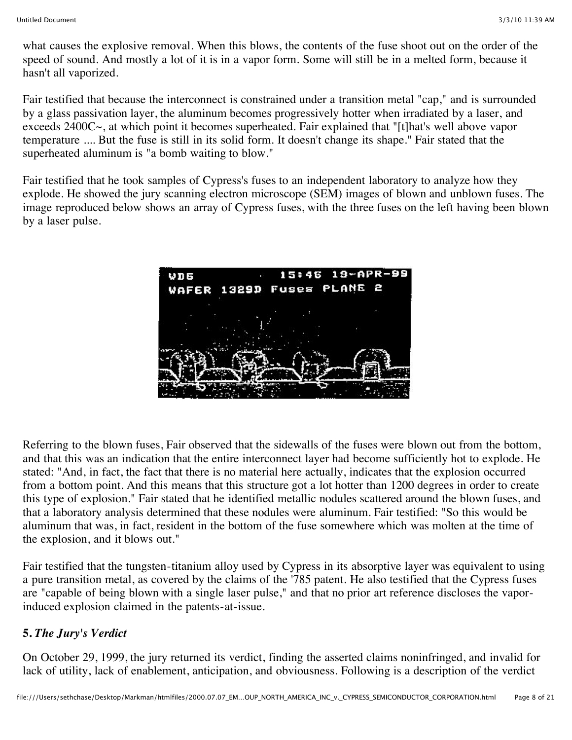what causes the explosive removal. When this blows, the contents of the fuse shoot out on the order of the speed of sound. And mostly a lot of it is in a vapor form. Some will still be in a melted form, because it hasn't all vaporized.

Fair testified that because the interconnect is constrained under a transition metal "cap," and is surrounded by a glass passivation layer, the aluminum becomes progressively hotter when irradiated by a laser, and exceeds 2400C~, at which point it becomes superheated. Fair explained that "[t]hat's well above vapor temperature .... But the fuse is still in its solid form. It doesn't change its shape." Fair stated that the superheated aluminum is "a bomb waiting to blow."

Fair testified that he took samples of Cypress's fuses to an independent laboratory to analyze how they explode. He showed the jury scanning electron microscope (SEM) images of blown and unblown fuses. The image reproduced below shows an array of Cypress fuses, with the three fuses on the left having been blown by a laser pulse.



Referring to the blown fuses, Fair observed that the sidewalls of the fuses were blown out from the bottom, and that this was an indication that the entire interconnect layer had become sufficiently hot to explode. He stated: "And, in fact, the fact that there is no material here actually, indicates that the explosion occurred from a bottom point. And this means that this structure got a lot hotter than 1200 degrees in order to create this type of explosion." Fair stated that he identified metallic nodules scattered around the blown fuses, and that a laboratory analysis determined that these nodules were aluminum. Fair testified: "So this would be aluminum that was, in fact, resident in the bottom of the fuse somewhere which was molten at the time of the explosion, and it blows out."

Fair testified that the tungsten-titanium alloy used by Cypress in its absorptive layer was equivalent to using a pure transition metal, as covered by the claims of the '785 patent. He also testified that the Cypress fuses are "capable of being blown with a single laser pulse," and that no prior art reference discloses the vaporinduced explosion claimed in the patents-at-issue.

# **5.** *The Jury's Verdict*

On October 29, 1999, the jury returned its verdict, finding the asserted claims noninfringed, and invalid for lack of utility, lack of enablement, anticipation, and obviousness. Following is a description of the verdict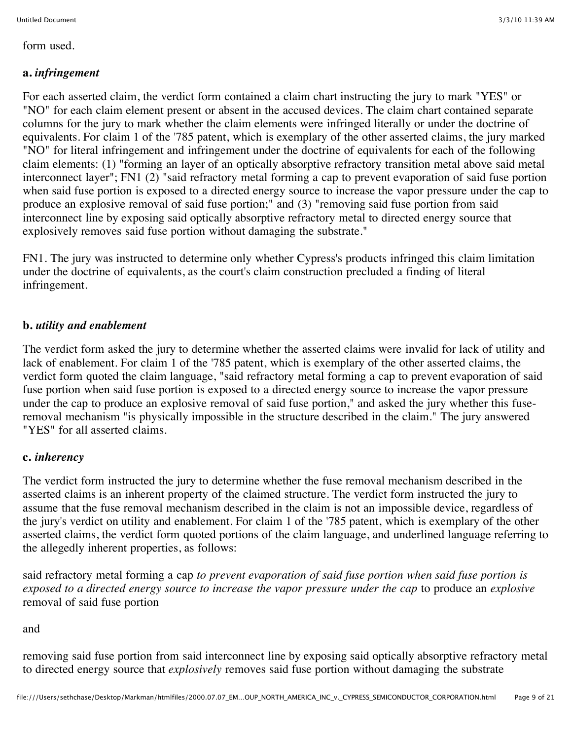form used.

# **a.** *infringement*

For each asserted claim, the verdict form contained a claim chart instructing the jury to mark "YES" or "NO" for each claim element present or absent in the accused devices. The claim chart contained separate columns for the jury to mark whether the claim elements were infringed literally or under the doctrine of equivalents. For claim 1 of the '785 patent, which is exemplary of the other asserted claims, the jury marked "NO" for literal infringement and infringement under the doctrine of equivalents for each of the following claim elements: (1) "forming an layer of an optically absorptive refractory transition metal above said metal interconnect layer"; FN1 (2) "said refractory metal forming a cap to prevent evaporation of said fuse portion when said fuse portion is exposed to a directed energy source to increase the vapor pressure under the cap to produce an explosive removal of said fuse portion;" and (3) "removing said fuse portion from said interconnect line by exposing said optically absorptive refractory metal to directed energy source that explosively removes said fuse portion without damaging the substrate."

FN1. The jury was instructed to determine only whether Cypress's products infringed this claim limitation under the doctrine of equivalents, as the court's claim construction precluded a finding of literal infringement.

#### **b.** *utility and enablement*

The verdict form asked the jury to determine whether the asserted claims were invalid for lack of utility and lack of enablement. For claim 1 of the '785 patent, which is exemplary of the other asserted claims, the verdict form quoted the claim language, "said refractory metal forming a cap to prevent evaporation of said fuse portion when said fuse portion is exposed to a directed energy source to increase the vapor pressure under the cap to produce an explosive removal of said fuse portion," and asked the jury whether this fuseremoval mechanism "is physically impossible in the structure described in the claim." The jury answered "YES" for all asserted claims.

#### **c.** *inherency*

The verdict form instructed the jury to determine whether the fuse removal mechanism described in the asserted claims is an inherent property of the claimed structure. The verdict form instructed the jury to assume that the fuse removal mechanism described in the claim is not an impossible device, regardless of the jury's verdict on utility and enablement. For claim 1 of the '785 patent, which is exemplary of the other asserted claims, the verdict form quoted portions of the claim language, and underlined language referring to the allegedly inherent properties, as follows:

said refractory metal forming a cap *to prevent evaporation of said fuse portion when said fuse portion is exposed to a directed energy source to increase the vapor pressure under the cap* to produce an *explosive* removal of said fuse portion

#### and

removing said fuse portion from said interconnect line by exposing said optically absorptive refractory metal to directed energy source that *explosively* removes said fuse portion without damaging the substrate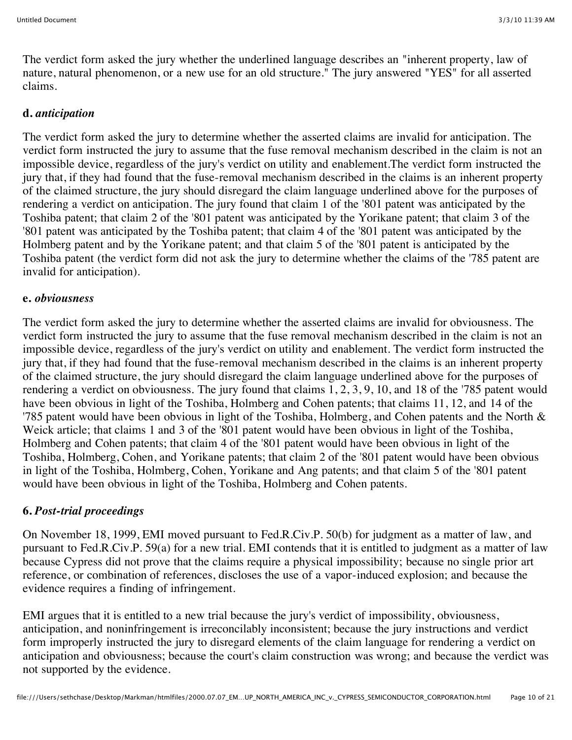The verdict form asked the jury whether the underlined language describes an "inherent property, law of nature, natural phenomenon, or a new use for an old structure." The jury answered "YES" for all asserted claims.

#### **d.** *anticipation*

The verdict form asked the jury to determine whether the asserted claims are invalid for anticipation. The verdict form instructed the jury to assume that the fuse removal mechanism described in the claim is not an impossible device, regardless of the jury's verdict on utility and enablement.The verdict form instructed the jury that, if they had found that the fuse-removal mechanism described in the claims is an inherent property of the claimed structure, the jury should disregard the claim language underlined above for the purposes of rendering a verdict on anticipation. The jury found that claim 1 of the '801 patent was anticipated by the Toshiba patent; that claim 2 of the '801 patent was anticipated by the Yorikane patent; that claim 3 of the '801 patent was anticipated by the Toshiba patent; that claim 4 of the '801 patent was anticipated by the Holmberg patent and by the Yorikane patent; and that claim 5 of the '801 patent is anticipated by the Toshiba patent (the verdict form did not ask the jury to determine whether the claims of the '785 patent are invalid for anticipation).

#### **e.** *obviousness*

The verdict form asked the jury to determine whether the asserted claims are invalid for obviousness. The verdict form instructed the jury to assume that the fuse removal mechanism described in the claim is not an impossible device, regardless of the jury's verdict on utility and enablement. The verdict form instructed the jury that, if they had found that the fuse-removal mechanism described in the claims is an inherent property of the claimed structure, the jury should disregard the claim language underlined above for the purposes of rendering a verdict on obviousness. The jury found that claims 1, 2, 3, 9, 10, and 18 of the '785 patent would have been obvious in light of the Toshiba, Holmberg and Cohen patents; that claims 11, 12, and 14 of the '785 patent would have been obvious in light of the Toshiba, Holmberg, and Cohen patents and the North & Weick article; that claims 1 and 3 of the '801 patent would have been obvious in light of the Toshiba, Holmberg and Cohen patents; that claim 4 of the '801 patent would have been obvious in light of the Toshiba, Holmberg, Cohen, and Yorikane patents; that claim 2 of the '801 patent would have been obvious in light of the Toshiba, Holmberg, Cohen, Yorikane and Ang patents; and that claim 5 of the '801 patent would have been obvious in light of the Toshiba, Holmberg and Cohen patents.

# **6.** *Post-trial proceedings*

On November 18, 1999, EMI moved pursuant to Fed.R.Civ.P. 50(b) for judgment as a matter of law, and pursuant to Fed.R.Civ.P. 59(a) for a new trial. EMI contends that it is entitled to judgment as a matter of law because Cypress did not prove that the claims require a physical impossibility; because no single prior art reference, or combination of references, discloses the use of a vapor-induced explosion; and because the evidence requires a finding of infringement.

EMI argues that it is entitled to a new trial because the jury's verdict of impossibility, obviousness, anticipation, and noninfringement is irreconcilably inconsistent; because the jury instructions and verdict form improperly instructed the jury to disregard elements of the claim language for rendering a verdict on anticipation and obviousness; because the court's claim construction was wrong; and because the verdict was not supported by the evidence.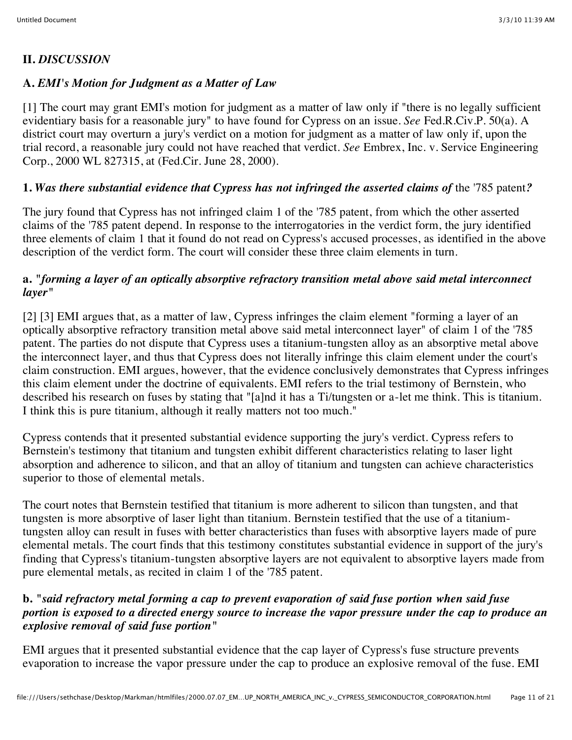# **II.** *DISCUSSION*

# **A.** *EMI's Motion for Judgment as a Matter of Law*

[1] The court may grant EMI's motion for judgment as a matter of law only if "there is no legally sufficient evidentiary basis for a reasonable jury" to have found for Cypress on an issue. *See* Fed.R.Civ.P. 50(a). A district court may overturn a jury's verdict on a motion for judgment as a matter of law only if, upon the trial record, a reasonable jury could not have reached that verdict. *See* Embrex, Inc. v. Service Engineering Corp., 2000 WL 827315, at (Fed.Cir. June 28, 2000).

# **1.** *Was there substantial evidence that Cypress has not infringed the asserted claims of* the '785 patent*?*

The jury found that Cypress has not infringed claim 1 of the '785 patent, from which the other asserted claims of the '785 patent depend. In response to the interrogatories in the verdict form, the jury identified three elements of claim 1 that it found do not read on Cypress's accused processes, as identified in the above description of the verdict form. The court will consider these three claim elements in turn.

# **a.** *"forming a layer of an optically absorptive refractory transition metal above said metal interconnect layer"*

[2] [3] EMI argues that, as a matter of law, Cypress infringes the claim element "forming a layer of an optically absorptive refractory transition metal above said metal interconnect layer" of claim 1 of the '785 patent. The parties do not dispute that Cypress uses a titanium-tungsten alloy as an absorptive metal above the interconnect layer, and thus that Cypress does not literally infringe this claim element under the court's claim construction. EMI argues, however, that the evidence conclusively demonstrates that Cypress infringes this claim element under the doctrine of equivalents. EMI refers to the trial testimony of Bernstein, who described his research on fuses by stating that "[a]nd it has a Ti/tungsten or a-let me think. This is titanium. I think this is pure titanium, although it really matters not too much."

Cypress contends that it presented substantial evidence supporting the jury's verdict. Cypress refers to Bernstein's testimony that titanium and tungsten exhibit different characteristics relating to laser light absorption and adherence to silicon, and that an alloy of titanium and tungsten can achieve characteristics superior to those of elemental metals.

The court notes that Bernstein testified that titanium is more adherent to silicon than tungsten, and that tungsten is more absorptive of laser light than titanium. Bernstein testified that the use of a titaniumtungsten alloy can result in fuses with better characteristics than fuses with absorptive layers made of pure elemental metals. The court finds that this testimony constitutes substantial evidence in support of the jury's finding that Cypress's titanium-tungsten absorptive layers are not equivalent to absorptive layers made from pure elemental metals, as recited in claim 1 of the '785 patent.

# **b.** *"said refractory metal forming a cap to prevent evaporation of said fuse portion when said fuse portion is exposed to a directed energy source to increase the vapor pressure under the cap to produce an explosive removal of said fuse portion"*

EMI argues that it presented substantial evidence that the cap layer of Cypress's fuse structure prevents evaporation to increase the vapor pressure under the cap to produce an explosive removal of the fuse. EMI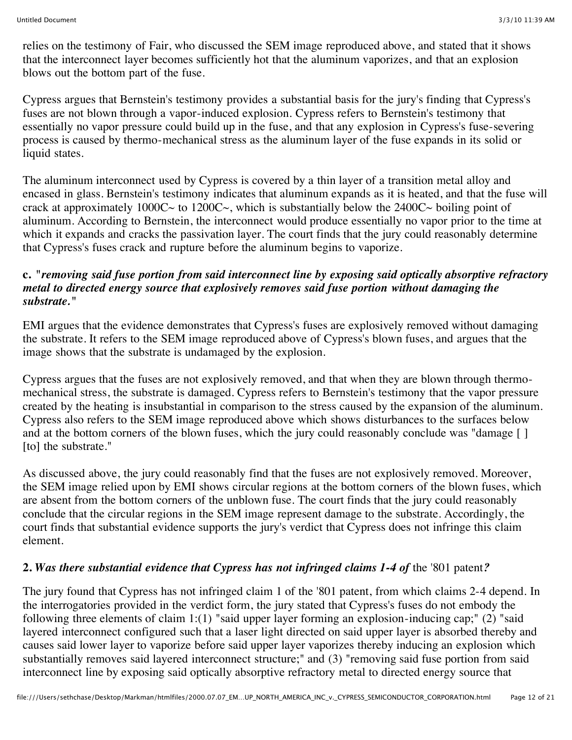relies on the testimony of Fair, who discussed the SEM image reproduced above, and stated that it shows that the interconnect layer becomes sufficiently hot that the aluminum vaporizes, and that an explosion blows out the bottom part of the fuse.

Cypress argues that Bernstein's testimony provides a substantial basis for the jury's finding that Cypress's fuses are not blown through a vapor-induced explosion. Cypress refers to Bernstein's testimony that essentially no vapor pressure could build up in the fuse, and that any explosion in Cypress's fuse-severing process is caused by thermo-mechanical stress as the aluminum layer of the fuse expands in its solid or liquid states.

The aluminum interconnect used by Cypress is covered by a thin layer of a transition metal alloy and encased in glass. Bernstein's testimony indicates that aluminum expands as it is heated, and that the fuse will crack at approximately  $1000C~$  to  $1200C~$ , which is substantially below the  $2400C~$  boiling point of aluminum. According to Bernstein, the interconnect would produce essentially no vapor prior to the time at which it expands and cracks the passivation layer. The court finds that the jury could reasonably determine that Cypress's fuses crack and rupture before the aluminum begins to vaporize.

#### **c.** *"removing said fuse portion from said interconnect line by exposing said optically absorptive refractory metal to directed energy source that explosively removes said fuse portion without damaging the substrate."*

EMI argues that the evidence demonstrates that Cypress's fuses are explosively removed without damaging the substrate. It refers to the SEM image reproduced above of Cypress's blown fuses, and argues that the image shows that the substrate is undamaged by the explosion.

Cypress argues that the fuses are not explosively removed, and that when they are blown through thermomechanical stress, the substrate is damaged. Cypress refers to Bernstein's testimony that the vapor pressure created by the heating is insubstantial in comparison to the stress caused by the expansion of the aluminum. Cypress also refers to the SEM image reproduced above which shows disturbances to the surfaces below and at the bottom corners of the blown fuses, which the jury could reasonably conclude was "damage [] [to] the substrate."

As discussed above, the jury could reasonably find that the fuses are not explosively removed. Moreover, the SEM image relied upon by EMI shows circular regions at the bottom corners of the blown fuses, which are absent from the bottom corners of the unblown fuse. The court finds that the jury could reasonably conclude that the circular regions in the SEM image represent damage to the substrate. Accordingly, the court finds that substantial evidence supports the jury's verdict that Cypress does not infringe this claim element.

# **2.** *Was there substantial evidence that Cypress has not infringed claims 1-4 of* the '801 patent*?*

The jury found that Cypress has not infringed claim 1 of the '801 patent, from which claims 2-4 depend. In the interrogatories provided in the verdict form, the jury stated that Cypress's fuses do not embody the following three elements of claim 1:(1) "said upper layer forming an explosion-inducing cap;" (2) "said layered interconnect configured such that a laser light directed on said upper layer is absorbed thereby and causes said lower layer to vaporize before said upper layer vaporizes thereby inducing an explosion which substantially removes said layered interconnect structure;" and (3) "removing said fuse portion from said interconnect line by exposing said optically absorptive refractory metal to directed energy source that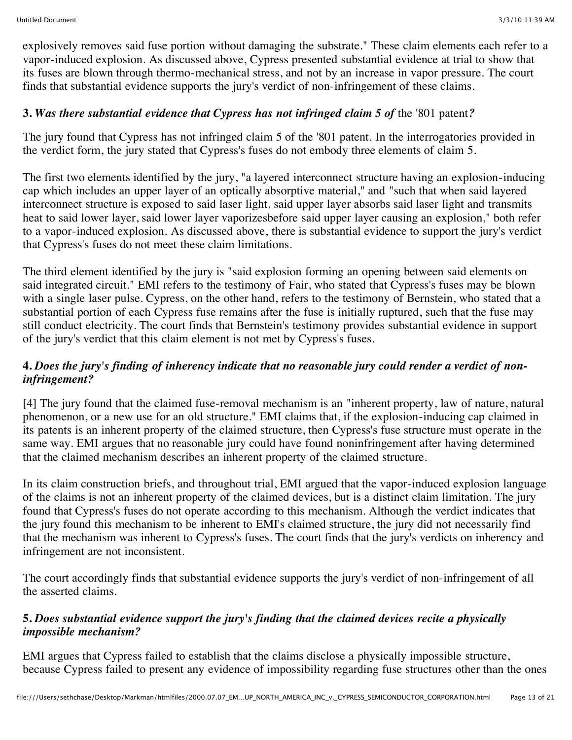explosively removes said fuse portion without damaging the substrate." These claim elements each refer to a vapor-induced explosion. As discussed above, Cypress presented substantial evidence at trial to show that its fuses are blown through thermo-mechanical stress, and not by an increase in vapor pressure. The court finds that substantial evidence supports the jury's verdict of non-infringement of these claims.

# **3.** *Was there substantial evidence that Cypress has not infringed claim 5 of* the '801 patent*?*

The jury found that Cypress has not infringed claim 5 of the '801 patent. In the interrogatories provided in the verdict form, the jury stated that Cypress's fuses do not embody three elements of claim 5.

The first two elements identified by the jury, "a layered interconnect structure having an explosion-inducing cap which includes an upper layer of an optically absorptive material," and "such that when said layered interconnect structure is exposed to said laser light, said upper layer absorbs said laser light and transmits heat to said lower layer, said lower layer vaporizesbefore said upper layer causing an explosion," both refer to a vapor-induced explosion. As discussed above, there is substantial evidence to support the jury's verdict that Cypress's fuses do not meet these claim limitations.

The third element identified by the jury is "said explosion forming an opening between said elements on said integrated circuit." EMI refers to the testimony of Fair, who stated that Cypress's fuses may be blown with a single laser pulse. Cypress, on the other hand, refers to the testimony of Bernstein, who stated that a substantial portion of each Cypress fuse remains after the fuse is initially ruptured, such that the fuse may still conduct electricity. The court finds that Bernstein's testimony provides substantial evidence in support of the jury's verdict that this claim element is not met by Cypress's fuses.

# **4.** *Does the jury's finding of inherency indicate that no reasonable jury could render a verdict of noninfringement?*

[4] The jury found that the claimed fuse-removal mechanism is an "inherent property, law of nature, natural phenomenon, or a new use for an old structure." EMI claims that, if the explosion-inducing cap claimed in its patents is an inherent property of the claimed structure, then Cypress's fuse structure must operate in the same way. EMI argues that no reasonable jury could have found noninfringement after having determined that the claimed mechanism describes an inherent property of the claimed structure.

In its claim construction briefs, and throughout trial, EMI argued that the vapor-induced explosion language of the claims is not an inherent property of the claimed devices, but is a distinct claim limitation. The jury found that Cypress's fuses do not operate according to this mechanism. Although the verdict indicates that the jury found this mechanism to be inherent to EMI's claimed structure, the jury did not necessarily find that the mechanism was inherent to Cypress's fuses. The court finds that the jury's verdicts on inherency and infringement are not inconsistent.

The court accordingly finds that substantial evidence supports the jury's verdict of non-infringement of all the asserted claims.

# **5.** *Does substantial evidence support the jury's finding that the claimed devices recite a physically impossible mechanism?*

EMI argues that Cypress failed to establish that the claims disclose a physically impossible structure, because Cypress failed to present any evidence of impossibility regarding fuse structures other than the ones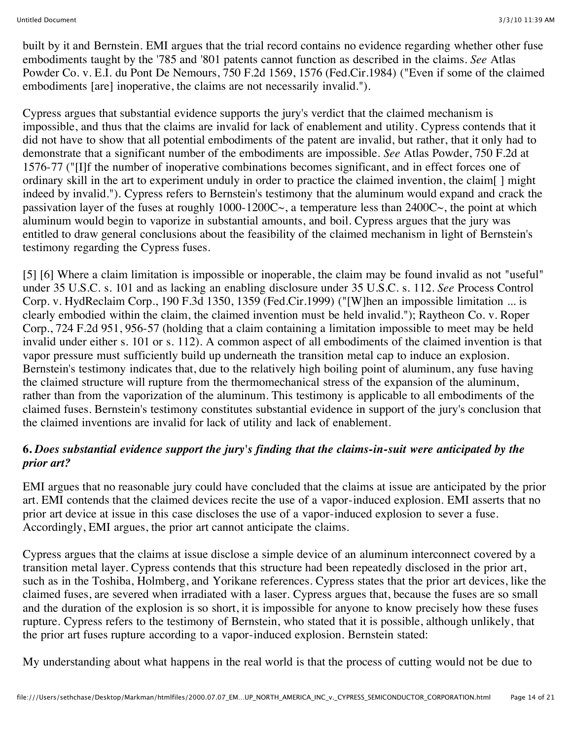built by it and Bernstein. EMI argues that the trial record contains no evidence regarding whether other fuse embodiments taught by the '785 and '801 patents cannot function as described in the claims. *See* Atlas Powder Co. v. E.I. du Pont De Nemours, 750 F.2d 1569, 1576 (Fed.Cir.1984) ("Even if some of the claimed embodiments [are] inoperative, the claims are not necessarily invalid.").

Cypress argues that substantial evidence supports the jury's verdict that the claimed mechanism is impossible, and thus that the claims are invalid for lack of enablement and utility. Cypress contends that it did not have to show that all potential embodiments of the patent are invalid, but rather, that it only had to demonstrate that a significant number of the embodiments are impossible. *See* Atlas Powder, 750 F.2d at 1576-77 ("[I]f the number of inoperative combinations becomes significant, and in effect forces one of ordinary skill in the art to experiment unduly in order to practice the claimed invention, the claim[ ] might indeed by invalid."). Cypress refers to Bernstein's testimony that the aluminum would expand and crack the passivation layer of the fuses at roughly 1000-1200C $\sim$ , a temperature less than 2400C $\sim$ , the point at which aluminum would begin to vaporize in substantial amounts, and boil. Cypress argues that the jury was entitled to draw general conclusions about the feasibility of the claimed mechanism in light of Bernstein's testimony regarding the Cypress fuses.

[5] [6] Where a claim limitation is impossible or inoperable, the claim may be found invalid as not "useful" under 35 U.S.C. s. 101 and as lacking an enabling disclosure under 35 U.S.C. s. 112. *See* Process Control Corp. v. HydReclaim Corp., 190 F.3d 1350, 1359 (Fed.Cir.1999) ("[W]hen an impossible limitation ... is clearly embodied within the claim, the claimed invention must be held invalid."); Raytheon Co. v. Roper Corp., 724 F.2d 951, 956-57 (holding that a claim containing a limitation impossible to meet may be held invalid under either s. 101 or s. 112). A common aspect of all embodiments of the claimed invention is that vapor pressure must sufficiently build up underneath the transition metal cap to induce an explosion. Bernstein's testimony indicates that, due to the relatively high boiling point of aluminum, any fuse having the claimed structure will rupture from the thermomechanical stress of the expansion of the aluminum, rather than from the vaporization of the aluminum. This testimony is applicable to all embodiments of the claimed fuses. Bernstein's testimony constitutes substantial evidence in support of the jury's conclusion that the claimed inventions are invalid for lack of utility and lack of enablement.

#### **6.** *Does substantial evidence support the jury's finding that the claims-in-suit were anticipated by the prior art?*

EMI argues that no reasonable jury could have concluded that the claims at issue are anticipated by the prior art. EMI contends that the claimed devices recite the use of a vapor-induced explosion. EMI asserts that no prior art device at issue in this case discloses the use of a vapor-induced explosion to sever a fuse. Accordingly, EMI argues, the prior art cannot anticipate the claims.

Cypress argues that the claims at issue disclose a simple device of an aluminum interconnect covered by a transition metal layer. Cypress contends that this structure had been repeatedly disclosed in the prior art, such as in the Toshiba, Holmberg, and Yorikane references. Cypress states that the prior art devices, like the claimed fuses, are severed when irradiated with a laser. Cypress argues that, because the fuses are so small and the duration of the explosion is so short, it is impossible for anyone to know precisely how these fuses rupture. Cypress refers to the testimony of Bernstein, who stated that it is possible, although unlikely, that the prior art fuses rupture according to a vapor-induced explosion. Bernstein stated:

My understanding about what happens in the real world is that the process of cutting would not be due to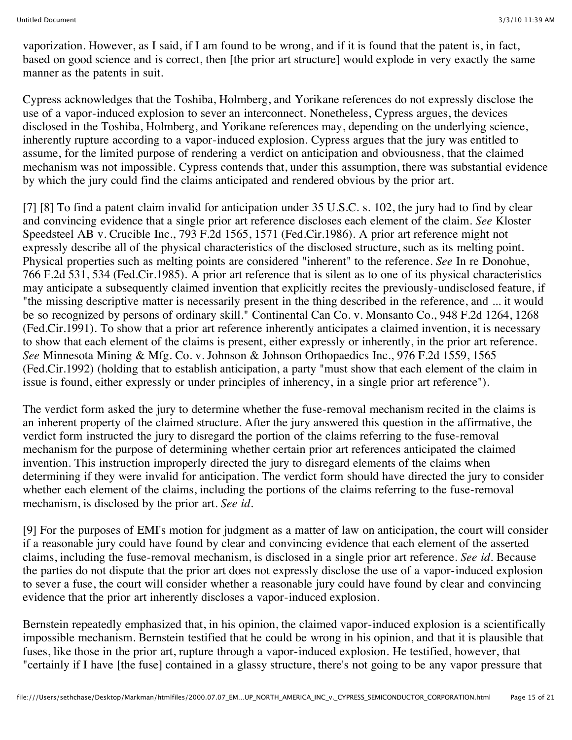vaporization. However, as I said, if I am found to be wrong, and if it is found that the patent is, in fact, based on good science and is correct, then [the prior art structure] would explode in very exactly the same manner as the patents in suit.

Cypress acknowledges that the Toshiba, Holmberg, and Yorikane references do not expressly disclose the use of a vapor-induced explosion to sever an interconnect. Nonetheless, Cypress argues, the devices disclosed in the Toshiba, Holmberg, and Yorikane references may, depending on the underlying science, inherently rupture according to a vapor-induced explosion. Cypress argues that the jury was entitled to assume, for the limited purpose of rendering a verdict on anticipation and obviousness, that the claimed mechanism was not impossible. Cypress contends that, under this assumption, there was substantial evidence by which the jury could find the claims anticipated and rendered obvious by the prior art.

[7] [8] To find a patent claim invalid for anticipation under 35 U.S.C. s. 102, the jury had to find by clear and convincing evidence that a single prior art reference discloses each element of the claim. *See* Kloster Speedsteel AB v. Crucible Inc., 793 F.2d 1565, 1571 (Fed.Cir.1986). A prior art reference might not expressly describe all of the physical characteristics of the disclosed structure, such as its melting point. Physical properties such as melting points are considered "inherent" to the reference. *See* In re Donohue, 766 F.2d 531, 534 (Fed.Cir.1985). A prior art reference that is silent as to one of its physical characteristics may anticipate a subsequently claimed invention that explicitly recites the previously-undisclosed feature, if "the missing descriptive matter is necessarily present in the thing described in the reference, and ... it would be so recognized by persons of ordinary skill." Continental Can Co. v. Monsanto Co., 948 F.2d 1264, 1268 (Fed.Cir.1991). To show that a prior art reference inherently anticipates a claimed invention, it is necessary to show that each element of the claims is present, either expressly or inherently, in the prior art reference. *See* Minnesota Mining & Mfg. Co. v. Johnson & Johnson Orthopaedics Inc., 976 F.2d 1559, 1565 (Fed.Cir.1992) (holding that to establish anticipation, a party "must show that each element of the claim in issue is found, either expressly or under principles of inherency, in a single prior art reference").

The verdict form asked the jury to determine whether the fuse-removal mechanism recited in the claims is an inherent property of the claimed structure. After the jury answered this question in the affirmative, the verdict form instructed the jury to disregard the portion of the claims referring to the fuse-removal mechanism for the purpose of determining whether certain prior art references anticipated the claimed invention. This instruction improperly directed the jury to disregard elements of the claims when determining if they were invalid for anticipation. The verdict form should have directed the jury to consider whether each element of the claims, including the portions of the claims referring to the fuse-removal mechanism, is disclosed by the prior art. *See id.*

[9] For the purposes of EMI's motion for judgment as a matter of law on anticipation, the court will consider if a reasonable jury could have found by clear and convincing evidence that each element of the asserted claims, including the fuse-removal mechanism, is disclosed in a single prior art reference. *See id.* Because the parties do not dispute that the prior art does not expressly disclose the use of a vapor-induced explosion to sever a fuse, the court will consider whether a reasonable jury could have found by clear and convincing evidence that the prior art inherently discloses a vapor-induced explosion.

Bernstein repeatedly emphasized that, in his opinion, the claimed vapor-induced explosion is a scientifically impossible mechanism. Bernstein testified that he could be wrong in his opinion, and that it is plausible that fuses, like those in the prior art, rupture through a vapor-induced explosion. He testified, however, that "certainly if I have [the fuse] contained in a glassy structure, there's not going to be any vapor pressure that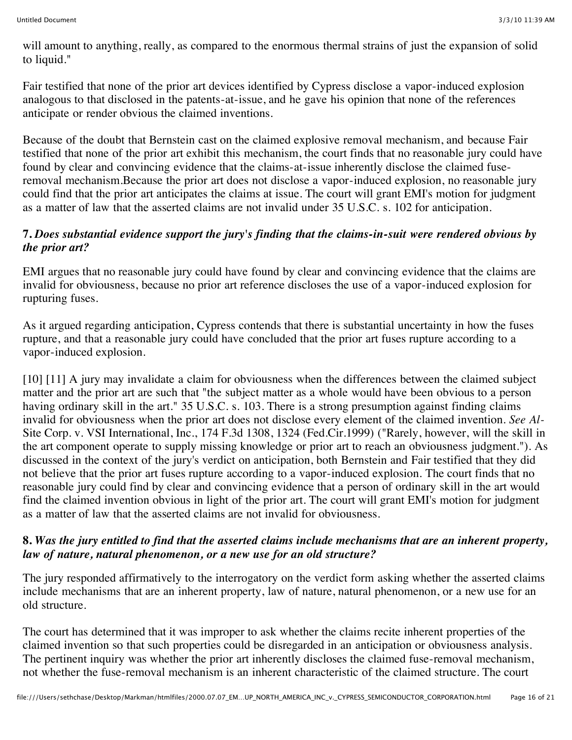will amount to anything, really, as compared to the enormous thermal strains of just the expansion of solid to liquid."

Fair testified that none of the prior art devices identified by Cypress disclose a vapor-induced explosion analogous to that disclosed in the patents-at-issue, and he gave his opinion that none of the references anticipate or render obvious the claimed inventions.

Because of the doubt that Bernstein cast on the claimed explosive removal mechanism, and because Fair testified that none of the prior art exhibit this mechanism, the court finds that no reasonable jury could have found by clear and convincing evidence that the claims-at-issue inherently disclose the claimed fuseremoval mechanism.Because the prior art does not disclose a vapor-induced explosion, no reasonable jury could find that the prior art anticipates the claims at issue. The court will grant EMI's motion for judgment as a matter of law that the asserted claims are not invalid under 35 U.S.C. s. 102 for anticipation.

# **7.** *Does substantial evidence support the jury's finding that the claims-in-suit were rendered obvious by the prior art?*

EMI argues that no reasonable jury could have found by clear and convincing evidence that the claims are invalid for obviousness, because no prior art reference discloses the use of a vapor-induced explosion for rupturing fuses.

As it argued regarding anticipation, Cypress contends that there is substantial uncertainty in how the fuses rupture, and that a reasonable jury could have concluded that the prior art fuses rupture according to a vapor-induced explosion.

[10] [11] A jury may invalidate a claim for obviousness when the differences between the claimed subject matter and the prior art are such that "the subject matter as a whole would have been obvious to a person having ordinary skill in the art." 35 U.S.C. s. 103. There is a strong presumption against finding claims invalid for obviousness when the prior art does not disclose every element of the claimed invention. *See Al-*Site Corp. v. VSI International, Inc., 174 F.3d 1308, 1324 (Fed.Cir.1999) ("Rarely, however, will the skill in the art component operate to supply missing knowledge or prior art to reach an obviousness judgment."). As discussed in the context of the jury's verdict on anticipation, both Bernstein and Fair testified that they did not believe that the prior art fuses rupture according to a vapor-induced explosion. The court finds that no reasonable jury could find by clear and convincing evidence that a person of ordinary skill in the art would find the claimed invention obvious in light of the prior art. The court will grant EMI's motion for judgment as a matter of law that the asserted claims are not invalid for obviousness.

#### **8.** *Was the jury entitled to find that the asserted claims include mechanisms that are an inherent property, law of nature, natural phenomenon, or a new use for an old structure?*

The jury responded affirmatively to the interrogatory on the verdict form asking whether the asserted claims include mechanisms that are an inherent property, law of nature, natural phenomenon, or a new use for an old structure.

The court has determined that it was improper to ask whether the claims recite inherent properties of the claimed invention so that such properties could be disregarded in an anticipation or obviousness analysis. The pertinent inquiry was whether the prior art inherently discloses the claimed fuse-removal mechanism, not whether the fuse-removal mechanism is an inherent characteristic of the claimed structure. The court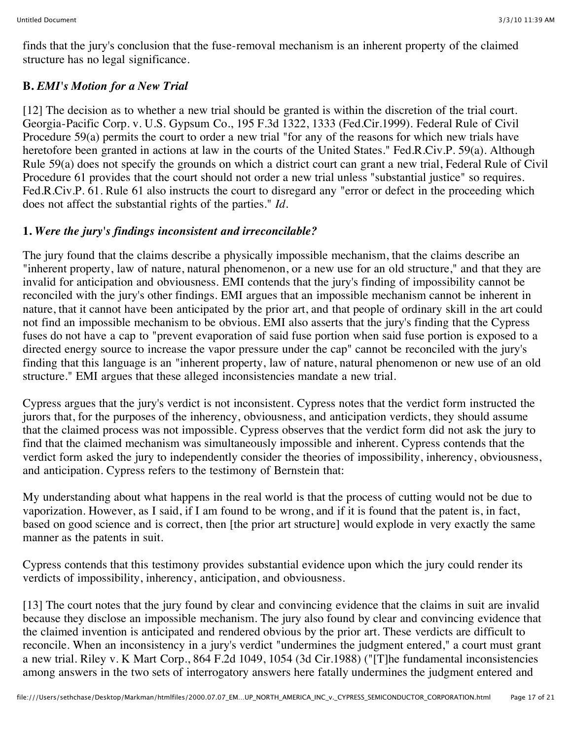finds that the jury's conclusion that the fuse-removal mechanism is an inherent property of the claimed structure has no legal significance.

# **B.** *EMI's Motion for a New Trial*

[12] The decision as to whether a new trial should be granted is within the discretion of the trial court. Georgia-Pacific Corp. v. U.S. Gypsum Co., 195 F.3d 1322, 1333 (Fed.Cir.1999). Federal Rule of Civil Procedure 59(a) permits the court to order a new trial "for any of the reasons for which new trials have heretofore been granted in actions at law in the courts of the United States." Fed.R.Civ.P. 59(a). Although Rule 59(a) does not specify the grounds on which a district court can grant a new trial, Federal Rule of Civil Procedure 61 provides that the court should not order a new trial unless "substantial justice" so requires. Fed.R.Civ.P. 61. Rule 61 also instructs the court to disregard any "error or defect in the proceeding which does not affect the substantial rights of the parties." *Id.*

#### **1.** *Were the jury's findings inconsistent and irreconcilable?*

The jury found that the claims describe a physically impossible mechanism, that the claims describe an "inherent property, law of nature, natural phenomenon, or a new use for an old structure," and that they are invalid for anticipation and obviousness. EMI contends that the jury's finding of impossibility cannot be reconciled with the jury's other findings. EMI argues that an impossible mechanism cannot be inherent in nature, that it cannot have been anticipated by the prior art, and that people of ordinary skill in the art could not find an impossible mechanism to be obvious. EMI also asserts that the jury's finding that the Cypress fuses do not have a cap to "prevent evaporation of said fuse portion when said fuse portion is exposed to a directed energy source to increase the vapor pressure under the cap" cannot be reconciled with the jury's finding that this language is an "inherent property, law of nature, natural phenomenon or new use of an old structure." EMI argues that these alleged inconsistencies mandate a new trial.

Cypress argues that the jury's verdict is not inconsistent. Cypress notes that the verdict form instructed the jurors that, for the purposes of the inherency, obviousness, and anticipation verdicts, they should assume that the claimed process was not impossible. Cypress observes that the verdict form did not ask the jury to find that the claimed mechanism was simultaneously impossible and inherent. Cypress contends that the verdict form asked the jury to independently consider the theories of impossibility, inherency, obviousness, and anticipation. Cypress refers to the testimony of Bernstein that:

My understanding about what happens in the real world is that the process of cutting would not be due to vaporization. However, as I said, if I am found to be wrong, and if it is found that the patent is, in fact, based on good science and is correct, then [the prior art structure] would explode in very exactly the same manner as the patents in suit.

Cypress contends that this testimony provides substantial evidence upon which the jury could render its verdicts of impossibility, inherency, anticipation, and obviousness.

[13] The court notes that the jury found by clear and convincing evidence that the claims in suit are invalid because they disclose an impossible mechanism. The jury also found by clear and convincing evidence that the claimed invention is anticipated and rendered obvious by the prior art. These verdicts are difficult to reconcile. When an inconsistency in a jury's verdict "undermines the judgment entered," a court must grant a new trial. Riley v. K Mart Corp., 864 F.2d 1049, 1054 (3d Cir.1988) ("[T]he fundamental inconsistencies among answers in the two sets of interrogatory answers here fatally undermines the judgment entered and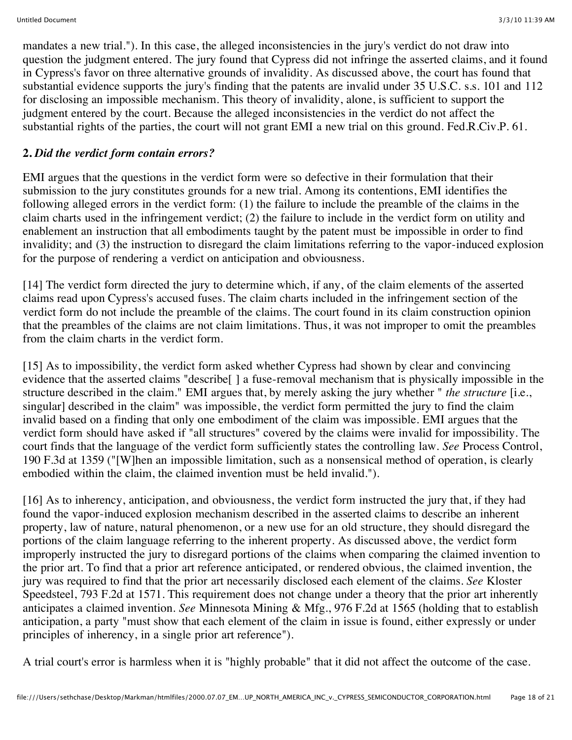mandates a new trial."). In this case, the alleged inconsistencies in the jury's verdict do not draw into question the judgment entered. The jury found that Cypress did not infringe the asserted claims, and it found in Cypress's favor on three alternative grounds of invalidity. As discussed above, the court has found that substantial evidence supports the jury's finding that the patents are invalid under 35 U.S.C. s.s. 101 and 112 for disclosing an impossible mechanism. This theory of invalidity, alone, is sufficient to support the judgment entered by the court. Because the alleged inconsistencies in the verdict do not affect the substantial rights of the parties, the court will not grant EMI a new trial on this ground. Fed.R.Civ.P. 61.

# **2.** *Did the verdict form contain errors?*

EMI argues that the questions in the verdict form were so defective in their formulation that their submission to the jury constitutes grounds for a new trial. Among its contentions, EMI identifies the following alleged errors in the verdict form: (1) the failure to include the preamble of the claims in the claim charts used in the infringement verdict; (2) the failure to include in the verdict form on utility and enablement an instruction that all embodiments taught by the patent must be impossible in order to find invalidity; and (3) the instruction to disregard the claim limitations referring to the vapor-induced explosion for the purpose of rendering a verdict on anticipation and obviousness.

[14] The verdict form directed the jury to determine which, if any, of the claim elements of the asserted claims read upon Cypress's accused fuses. The claim charts included in the infringement section of the verdict form do not include the preamble of the claims. The court found in its claim construction opinion that the preambles of the claims are not claim limitations. Thus, it was not improper to omit the preambles from the claim charts in the verdict form.

[15] As to impossibility, the verdict form asked whether Cypress had shown by clear and convincing evidence that the asserted claims "describe[ ] a fuse-removal mechanism that is physically impossible in the structure described in the claim." EMI argues that, by merely asking the jury whether " *the structure* [i.e., singular] described in the claim" was impossible, the verdict form permitted the jury to find the claim invalid based on a finding that only one embodiment of the claim was impossible. EMI argues that the verdict form should have asked if "all structures" covered by the claims were invalid for impossibility. The court finds that the language of the verdict form sufficiently states the controlling law. *See* Process Control, 190 F.3d at 1359 ("[W]hen an impossible limitation, such as a nonsensical method of operation, is clearly embodied within the claim, the claimed invention must be held invalid.").

[16] As to inherency, anticipation, and obviousness, the verdict form instructed the jury that, if they had found the vapor-induced explosion mechanism described in the asserted claims to describe an inherent property, law of nature, natural phenomenon, or a new use for an old structure, they should disregard the portions of the claim language referring to the inherent property. As discussed above, the verdict form improperly instructed the jury to disregard portions of the claims when comparing the claimed invention to the prior art. To find that a prior art reference anticipated, or rendered obvious, the claimed invention, the jury was required to find that the prior art necessarily disclosed each element of the claims. *See* Kloster Speedsteel, 793 F.2d at 1571. This requirement does not change under a theory that the prior art inherently anticipates a claimed invention. *See* Minnesota Mining & Mfg., 976 F.2d at 1565 (holding that to establish anticipation, a party "must show that each element of the claim in issue is found, either expressly or under principles of inherency, in a single prior art reference").

A trial court's error is harmless when it is "highly probable" that it did not affect the outcome of the case.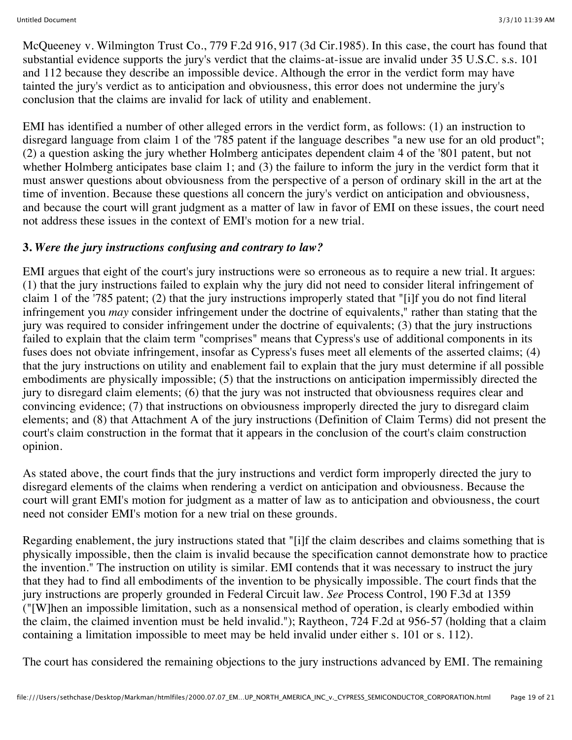McQueeney v. Wilmington Trust Co., 779 F.2d 916, 917 (3d Cir.1985). In this case, the court has found that substantial evidence supports the jury's verdict that the claims-at-issue are invalid under 35 U.S.C. s.s. 101 and 112 because they describe an impossible device. Although the error in the verdict form may have tainted the jury's verdict as to anticipation and obviousness, this error does not undermine the jury's conclusion that the claims are invalid for lack of utility and enablement.

EMI has identified a number of other alleged errors in the verdict form, as follows: (1) an instruction to disregard language from claim 1 of the '785 patent if the language describes "a new use for an old product"; (2) a question asking the jury whether Holmberg anticipates dependent claim 4 of the '801 patent, but not whether Holmberg anticipates base claim 1; and (3) the failure to inform the jury in the verdict form that it must answer questions about obviousness from the perspective of a person of ordinary skill in the art at the time of invention. Because these questions all concern the jury's verdict on anticipation and obviousness, and because the court will grant judgment as a matter of law in favor of EMI on these issues, the court need not address these issues in the context of EMI's motion for a new trial.

# **3.** *Were the jury instructions confusing and contrary to law?*

EMI argues that eight of the court's jury instructions were so erroneous as to require a new trial. It argues: (1) that the jury instructions failed to explain why the jury did not need to consider literal infringement of claim 1 of the '785 patent; (2) that the jury instructions improperly stated that "[i]f you do not find literal infringement you *may* consider infringement under the doctrine of equivalents," rather than stating that the jury was required to consider infringement under the doctrine of equivalents; (3) that the jury instructions failed to explain that the claim term "comprises" means that Cypress's use of additional components in its fuses does not obviate infringement, insofar as Cypress's fuses meet all elements of the asserted claims; (4) that the jury instructions on utility and enablement fail to explain that the jury must determine if all possible embodiments are physically impossible; (5) that the instructions on anticipation impermissibly directed the jury to disregard claim elements; (6) that the jury was not instructed that obviousness requires clear and convincing evidence; (7) that instructions on obviousness improperly directed the jury to disregard claim elements; and (8) that Attachment A of the jury instructions (Definition of Claim Terms) did not present the court's claim construction in the format that it appears in the conclusion of the court's claim construction opinion.

As stated above, the court finds that the jury instructions and verdict form improperly directed the jury to disregard elements of the claims when rendering a verdict on anticipation and obviousness. Because the court will grant EMI's motion for judgment as a matter of law as to anticipation and obviousness, the court need not consider EMI's motion for a new trial on these grounds.

Regarding enablement, the jury instructions stated that "[i]f the claim describes and claims something that is physically impossible, then the claim is invalid because the specification cannot demonstrate how to practice the invention." The instruction on utility is similar. EMI contends that it was necessary to instruct the jury that they had to find all embodiments of the invention to be physically impossible. The court finds that the jury instructions are properly grounded in Federal Circuit law. *See* Process Control, 190 F.3d at 1359 ("[W]hen an impossible limitation, such as a nonsensical method of operation, is clearly embodied within the claim, the claimed invention must be held invalid."); Raytheon, 724 F.2d at 956-57 (holding that a claim containing a limitation impossible to meet may be held invalid under either s. 101 or s. 112).

The court has considered the remaining objections to the jury instructions advanced by EMI. The remaining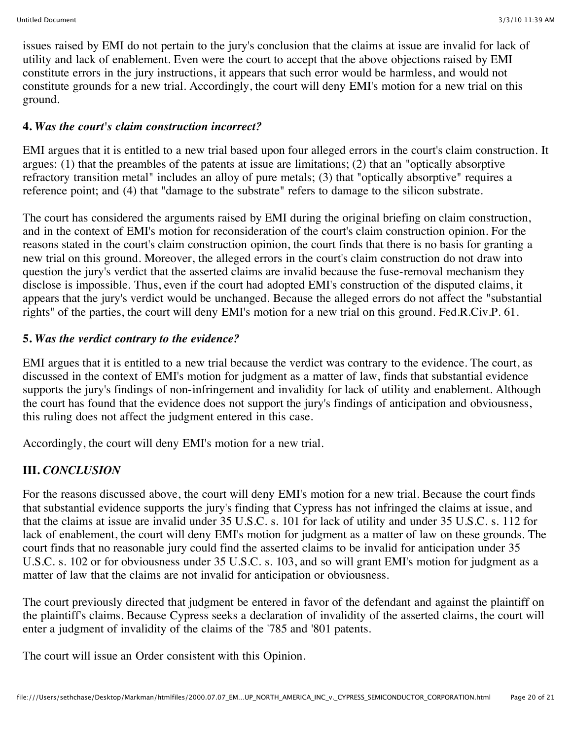issues raised by EMI do not pertain to the jury's conclusion that the claims at issue are invalid for lack of utility and lack of enablement. Even were the court to accept that the above objections raised by EMI constitute errors in the jury instructions, it appears that such error would be harmless, and would not constitute grounds for a new trial. Accordingly, the court will deny EMI's motion for a new trial on this ground.

#### **4.** *Was the court's claim construction incorrect?*

EMI argues that it is entitled to a new trial based upon four alleged errors in the court's claim construction. It argues: (1) that the preambles of the patents at issue are limitations; (2) that an "optically absorptive refractory transition metal" includes an alloy of pure metals; (3) that "optically absorptive" requires a reference point; and (4) that "damage to the substrate" refers to damage to the silicon substrate.

The court has considered the arguments raised by EMI during the original briefing on claim construction, and in the context of EMI's motion for reconsideration of the court's claim construction opinion. For the reasons stated in the court's claim construction opinion, the court finds that there is no basis for granting a new trial on this ground. Moreover, the alleged errors in the court's claim construction do not draw into question the jury's verdict that the asserted claims are invalid because the fuse-removal mechanism they disclose is impossible. Thus, even if the court had adopted EMI's construction of the disputed claims, it appears that the jury's verdict would be unchanged. Because the alleged errors do not affect the "substantial rights" of the parties, the court will deny EMI's motion for a new trial on this ground. Fed.R.Civ.P. 61.

#### **5.** *Was the verdict contrary to the evidence?*

EMI argues that it is entitled to a new trial because the verdict was contrary to the evidence. The court, as discussed in the context of EMI's motion for judgment as a matter of law, finds that substantial evidence supports the jury's findings of non-infringement and invalidity for lack of utility and enablement. Although the court has found that the evidence does not support the jury's findings of anticipation and obviousness, this ruling does not affect the judgment entered in this case.

Accordingly, the court will deny EMI's motion for a new trial.

# **III.** *CONCLUSION*

For the reasons discussed above, the court will deny EMI's motion for a new trial. Because the court finds that substantial evidence supports the jury's finding that Cypress has not infringed the claims at issue, and that the claims at issue are invalid under 35 U.S.C. s. 101 for lack of utility and under 35 U.S.C. s. 112 for lack of enablement, the court will deny EMI's motion for judgment as a matter of law on these grounds. The court finds that no reasonable jury could find the asserted claims to be invalid for anticipation under 35 U.S.C. s. 102 or for obviousness under 35 U.S.C. s. 103, and so will grant EMI's motion for judgment as a matter of law that the claims are not invalid for anticipation or obviousness.

The court previously directed that judgment be entered in favor of the defendant and against the plaintiff on the plaintiff's claims. Because Cypress seeks a declaration of invalidity of the asserted claims, the court will enter a judgment of invalidity of the claims of the '785 and '801 patents.

The court will issue an Order consistent with this Opinion.